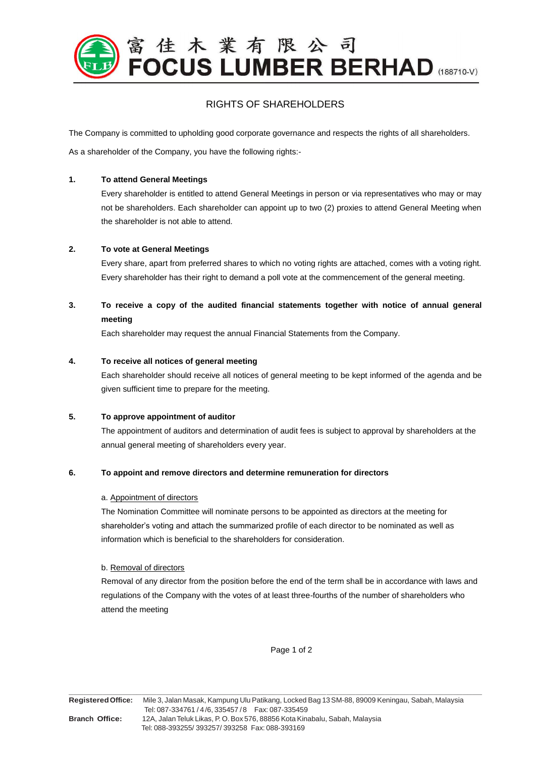

# RIGHTS OF SHAREHOLDERS

The Company is committed to upholding good corporate governance and respects the rights of all shareholders.

As a shareholder of the Company, you have the following rights:-

#### **1. To attend General Meetings**

Every shareholder is entitled to attend General Meetings in person or via representatives who may or may not be shareholders. Each shareholder can appoint up to two (2) proxies to attend General Meeting when the shareholder is not able to attend.

### **2. To vote at General Meetings**

Every share, apart from preferred shares to which no voting rights are attached, comes with a voting right. Every shareholder has their right to demand a poll vote at the commencement of the general meeting.

# **3. To receive a copy of the audited financial statements together with notice of annual general meeting**

Each shareholder may request the annual Financial Statements from the Company.

### **4. To receive all notices of general meeting**

Each shareholder should receive all notices of general meeting to be kept informed of the agenda and be given sufficient time to prepare for the meeting.

### **5. To approve appointment of auditor**

The appointment of auditors and determination of audit fees is subject to approval by shareholders at the annual general meeting of shareholders every year.

### **6. To appoint and remove directors and determine remuneration for directors**

#### a. Appointment of directors

The Nomination Committee will nominate persons to be appointed as directors at the meeting for shareholder's voting and attach the summarized profile of each director to be nominated as well as information which is beneficial to the shareholders for consideration.

### b. Removal of directors

Removal of any director from the position before the end of the term shall be in accordance with laws and regulations of the Company with the votes of at least three-fourths of the number of shareholders who attend the meeting

Page 1 of 2